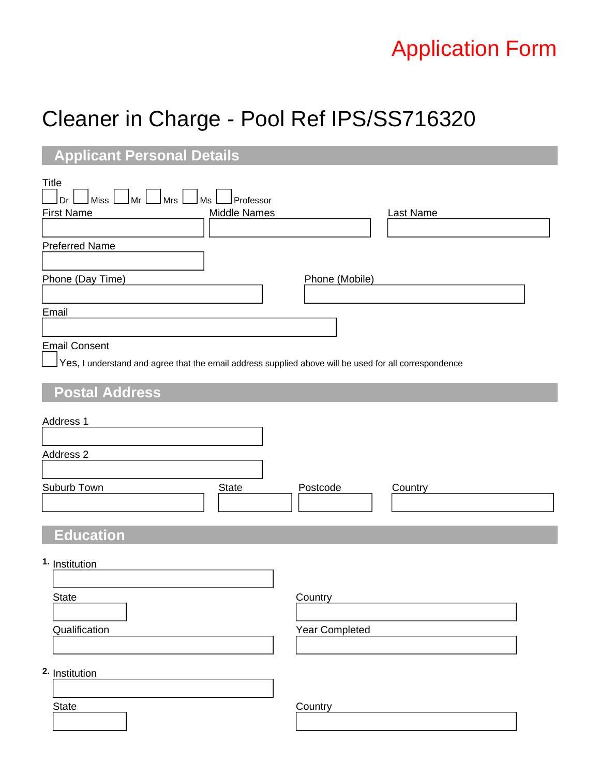## Application Form

## Cleaner in Charge - Pool Ref IPS/SS716320

### **Applicant Personal Details**

| Title<br>$\lfloor$ miss $\lfloor \_$ mr $\lfloor \_$ mrs $\lfloor \_$ ms $\lfloor$<br>Professor<br>Dr |                       |
|-------------------------------------------------------------------------------------------------------|-----------------------|
| <b>First Name</b><br>Middle Names                                                                     | Last Name             |
|                                                                                                       |                       |
| <b>Preferred Name</b>                                                                                 |                       |
|                                                                                                       |                       |
| Phone (Day Time)                                                                                      | Phone (Mobile)        |
|                                                                                                       |                       |
| Email                                                                                                 |                       |
|                                                                                                       |                       |
| <b>Email Consent</b>                                                                                  |                       |
|                                                                                                       |                       |
| Yes, I understand and agree that the email address supplied above will be used for all correspondence |                       |
| <b>Postal Address</b>                                                                                 |                       |
|                                                                                                       |                       |
| Address 1                                                                                             |                       |
|                                                                                                       |                       |
| Address 2                                                                                             |                       |
|                                                                                                       |                       |
| Suburb Town<br><b>State</b>                                                                           | Postcode<br>Country   |
|                                                                                                       |                       |
|                                                                                                       |                       |
| <b>Education</b>                                                                                      |                       |
|                                                                                                       |                       |
| 1. Institution                                                                                        |                       |
|                                                                                                       |                       |
| <b>State</b>                                                                                          |                       |
|                                                                                                       | Country               |
|                                                                                                       |                       |
| Qualification                                                                                         | <b>Year Completed</b> |
|                                                                                                       |                       |
|                                                                                                       |                       |
| 2. Institution                                                                                        |                       |
|                                                                                                       |                       |
| <b>State</b>                                                                                          | Country               |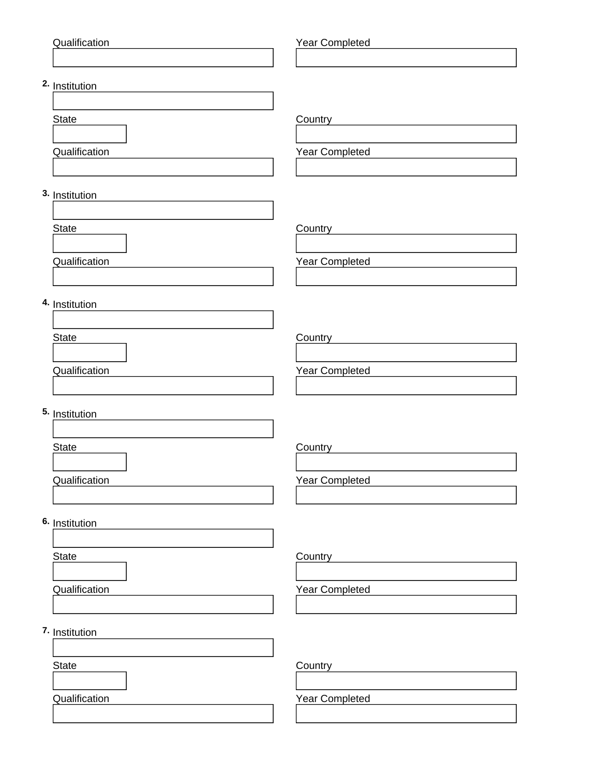| Qualification        | <b>Year Completed</b> |
|----------------------|-----------------------|
|                      |                       |
|                      |                       |
| 2. Institution       |                       |
|                      |                       |
| <b>State</b>         | Country               |
|                      |                       |
| <b>Qualification</b> | Year Completed        |
|                      |                       |
|                      |                       |
| 3. Institution       |                       |
|                      |                       |
| <b>State</b>         | Country               |
|                      |                       |
| Qualification        | <b>Year Completed</b> |
|                      |                       |
|                      |                       |
| 4. Institution       |                       |
|                      |                       |
| <b>State</b>         | Country               |
|                      |                       |
| Qualification        | Year Completed        |
|                      |                       |
|                      |                       |
| 5. Institution       |                       |
|                      |                       |
| <b>State</b>         | Country               |
|                      |                       |
| Qualification        | Year Completed        |
|                      |                       |
|                      |                       |
| 6. Institution       |                       |
|                      |                       |
| <b>State</b>         | Country               |
|                      |                       |
| Qualification        | <b>Year Completed</b> |
|                      |                       |
| 7. Institution       |                       |
|                      |                       |
|                      |                       |
| <b>State</b>         | Country               |
|                      |                       |
| <b>Qualification</b> | Year Completed        |
|                      |                       |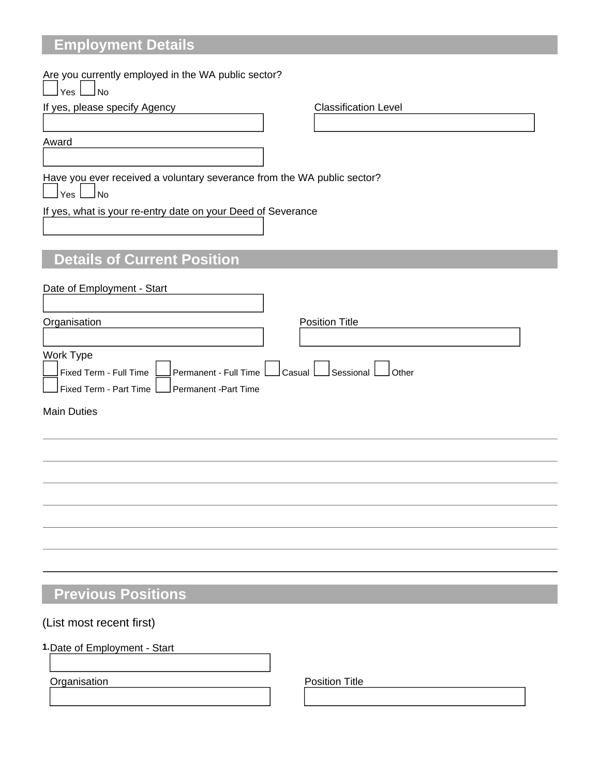#### **Employment Details**

Are you currently employed in the WA public sector?

 $Yes \bigsqcup No$ 

If yes, please specify Agency **Classification Level** 

Award

Have you ever received a voluntary severance from the WA public sector?  $Yes \bigsqcup No$ 

If yes, what is your re-entry date on your Deed of Severance

### **Details of Current Position**

# Date of Employment - Start Organisation **Position** Position Title

| Work Type                                                                                              |  |
|--------------------------------------------------------------------------------------------------------|--|
| $\Box$ Fixed Term - Full Time $\Box$ Permanent - Full Time $\Box$ Casual $\Box$ Sessional $\Box$ Other |  |
| $\Box$ Fixed Term - Part Time $\Box$ Permanent -Part Time                                              |  |

Main Duties

### **Previous Positions**

#### (List most recent first)

#### **1.**Date of Employment - Start

Organisation **Position** Position Title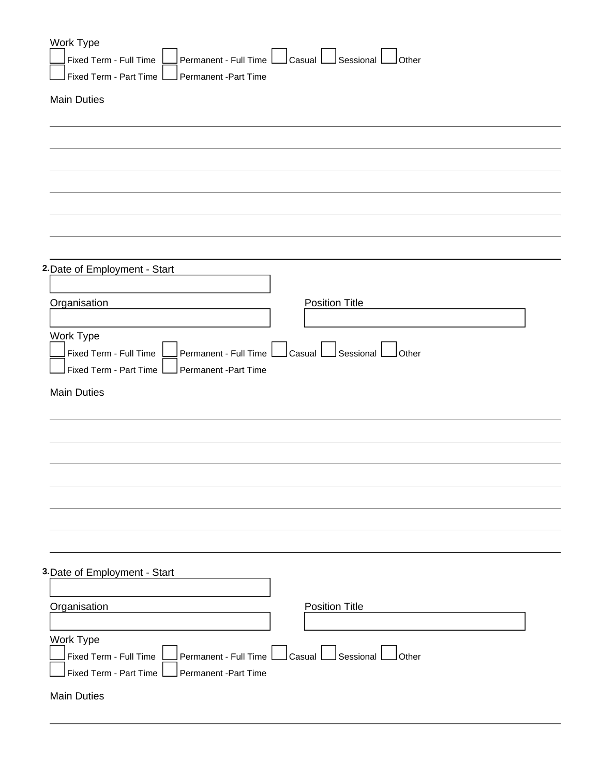| Work Type<br>$\lfloor$ Casual $\lfloor \_ \rfloor$ Sessional<br>Fixed Term - Full Time<br>Permanent - Full Time<br>Other |
|--------------------------------------------------------------------------------------------------------------------------|
| Fixed Term - Part Time<br>Permanent -Part Time                                                                           |
| <b>Main Duties</b>                                                                                                       |
|                                                                                                                          |
|                                                                                                                          |
|                                                                                                                          |
|                                                                                                                          |
|                                                                                                                          |
|                                                                                                                          |
| 2. Date of Employment - Start                                                                                            |
|                                                                                                                          |
| <b>Position Title</b><br>Organisation                                                                                    |
| Work Type                                                                                                                |
| $\Box$ Casual $\Box$ Sessional $\Box$<br>Fixed Term - Full Time<br>Permanent - Full Time<br>Other                        |
| Fixed Term - Part Time  <br>Permanent - Part Time                                                                        |
| <b>Main Duties</b>                                                                                                       |
|                                                                                                                          |
|                                                                                                                          |
|                                                                                                                          |
|                                                                                                                          |
|                                                                                                                          |
|                                                                                                                          |
|                                                                                                                          |
|                                                                                                                          |
| 3. Date of Employment - Start                                                                                            |
| <b>Position Title</b><br>Organisation                                                                                    |
|                                                                                                                          |
| Work Type                                                                                                                |
| $ $ Casual $\Box$<br>$\sf J$ Sessional $\sf I$<br>Permanent - Full Time<br>Fixed Term - Full Time<br>Other               |
| Fixed Term - Part Time<br>Permanent - Part Time                                                                          |
| <b>Main Duties</b>                                                                                                       |